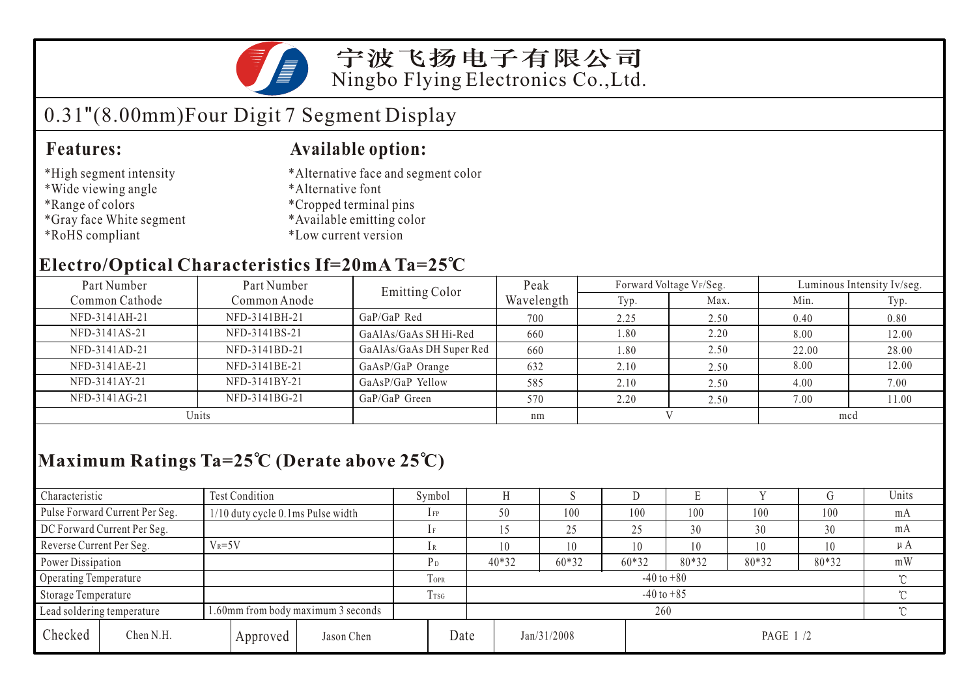

### 宁波飞扬电子有限公司 Ningbo Flying Electronics Co.,Ltd.

# 0.31"(8.00mm)Four Digit 7 Segment Display

#### **Features: Available option:**

- \*High segment intensity
- \*Wide viewing angle
- \*Range of colors
- \*Gray face White segment
- \*RoHS compliant
- \*Alternative face and segment color
- \*Alternative font
- \*Cropped terminal pins
- \*Available emitting color
- \*Low current version

### **Electro/Optical Characteristics If=20mA Ta=25 C**

| Part Number    | Part Number   | <b>Emitting Color</b>    | Peak       |      | Forward Voltage VF/Seg. | Luminous Intensity Iv/seg. |       |  |
|----------------|---------------|--------------------------|------------|------|-------------------------|----------------------------|-------|--|
| Common Cathode | Common Anode  |                          | Wavelength | Typ. | Max.                    | Min.                       | Typ.  |  |
| NFD-3141AH-21  | NFD-3141BH-21 | $GaP/GaP$ Red            | 700        | 2.25 | 2.50                    | 0.40                       | 0.80  |  |
| NFD-3141AS-21  | NFD-3141BS-21 | GaAlAs/GaAs SH Hi-Red    | 660        | 1.80 | 2.20                    | 8.00                       | 12.00 |  |
| NFD-3141AD-21  | NFD-3141BD-21 | GaAlAs/GaAs DH Super Red | 660        | 1.80 | 2.50                    | 22.00                      | 28.00 |  |
| NFD-3141AE-21  | NFD-3141BE-21 | GaAsP/GaP Orange         | 632        | 2.10 | 2.50                    | 8.00                       | 12.00 |  |
| NFD-3141AY-21  | NFD-3141BY-21 | GaAsP/GaP Yellow         | 585        | 2.10 | 2.50                    | 4.00                       | 7.00  |  |
| NFD-3141AG-21  | NFD-3141BG-21 | GaP/GaP Green            | 570        | 2.20 | 2.50                    | 7.00                       | 11.00 |  |
| Units          |               |                          | nm         |      |                         | mcd                        |       |  |

## **Maximum Ratings Ta=25 C (Derate above 25 C)**

| Characteristic           |                                                                  | <b>Test Condition</b>             |                  |                            | Symbol                   |      |         |             |       | L.       |       |     | Units   |
|--------------------------|------------------------------------------------------------------|-----------------------------------|------------------|----------------------------|--------------------------|------|---------|-------------|-------|----------|-------|-----|---------|
|                          | Pulse Forward Current Per Seg.                                   | 1/10 duty cycle 0.1ms Pulse width |                  |                            | $1$ FP                   | 50   |         | 100         | 100   | 100      | 100   | 100 | mA      |
|                          | DC Forward Current Per Seg.                                      |                                   |                  |                            |                          |      |         | 25          | 25    | 30       | 30    | 30  | mA      |
| Reverse Current Per Seg. |                                                                  | $V_R = 5V$                        |                  |                            | 1R                       | 10   |         | 10          | 10    | 10       | 10    | 10  | $\mu A$ |
|                          | Power Dissipation                                                |                                   |                  |                            | $40*32$                  |      | $60*32$ | $60*32$     | 80*32 | 80*32    | 80*32 | mW  |         |
| Operating Temperature    |                                                                  |                                   |                  | TOPR                       | $-40$ to $+80$<br>$\sim$ |      |         |             |       |          |       |     |         |
| Storage Temperature      |                                                                  |                                   | T <sub>rsG</sub> | $\gamma$<br>$-40$ to $+85$ |                          |      |         |             |       |          |       |     |         |
|                          | 1.60mm from body maximum 3 seconds<br>Lead soldering temperature |                                   |                  |                            |                          | 260  |         |             |       |          |       |     | ∽       |
| Checked                  | Chen N.H.                                                        | Approved                          | Jason Chen       |                            |                          | Date |         | Jan/31/2008 |       | PAGE 1/2 |       |     |         |